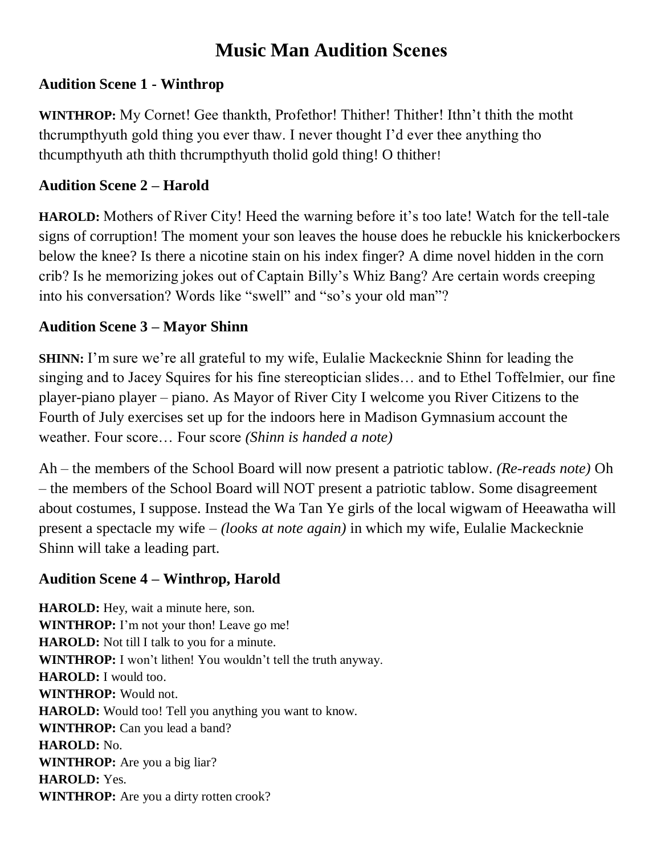# **Music Man Audition Scenes**

## **Audition Scene 1 - Winthrop**

**WINTHROP:** My Cornet! Gee thankth, Profethor! Thither! Thither! Ithn't thith the motht thcrumpthyuth gold thing you ever thaw. I never thought I'd ever thee anything tho thcumpthyuth ath thith thcrumpthyuth tholid gold thing! O thither!

# **Audition Scene 2 – Harold**

**HAROLD:** Mothers of River City! Heed the warning before it's too late! Watch for the tell-tale signs of corruption! The moment your son leaves the house does he rebuckle his knickerbockers below the knee? Is there a nicotine stain on his index finger? A dime novel hidden in the corn crib? Is he memorizing jokes out of Captain Billy's Whiz Bang? Are certain words creeping into his conversation? Words like "swell" and "so's your old man"?

# **Audition Scene 3 – Mayor Shinn**

**SHINN:** I'm sure we're all grateful to my wife, Eulalie Mackecknie Shinn for leading the singing and to Jacey Squires for his fine stereoptician slides… and to Ethel Toffelmier, our fine player-piano player – piano. As Mayor of River City I welcome you River Citizens to the Fourth of July exercises set up for the indoors here in Madison Gymnasium account the weather. Four score… Four score *(Shinn is handed a note)*

Ah – the members of the School Board will now present a patriotic tablow. *(Re-reads note)* Oh – the members of the School Board will NOT present a patriotic tablow. Some disagreement about costumes, I suppose. Instead the Wa Tan Ye girls of the local wigwam of Heeawatha will present a spectacle my wife – *(looks at note again)* in which my wife, Eulalie Mackecknie Shinn will take a leading part.

## **Audition Scene 4 – Winthrop, Harold**

**HAROLD:** Hey, wait a minute here, son. **WINTHROP:** I'm not your thon! Leave go me! **HAROLD:** Not till I talk to you for a minute. **WINTHROP:** I won't lithen! You wouldn't tell the truth anyway. **HAROLD:** I would too. **WINTHROP:** Would not. **HAROLD:** Would too! Tell you anything you want to know. **WINTHROP:** Can you lead a band? **HAROLD:** No. **WINTHROP:** Are you a big liar? **HAROLD:** Yes. **WINTHROP:** Are you a dirty rotten crook?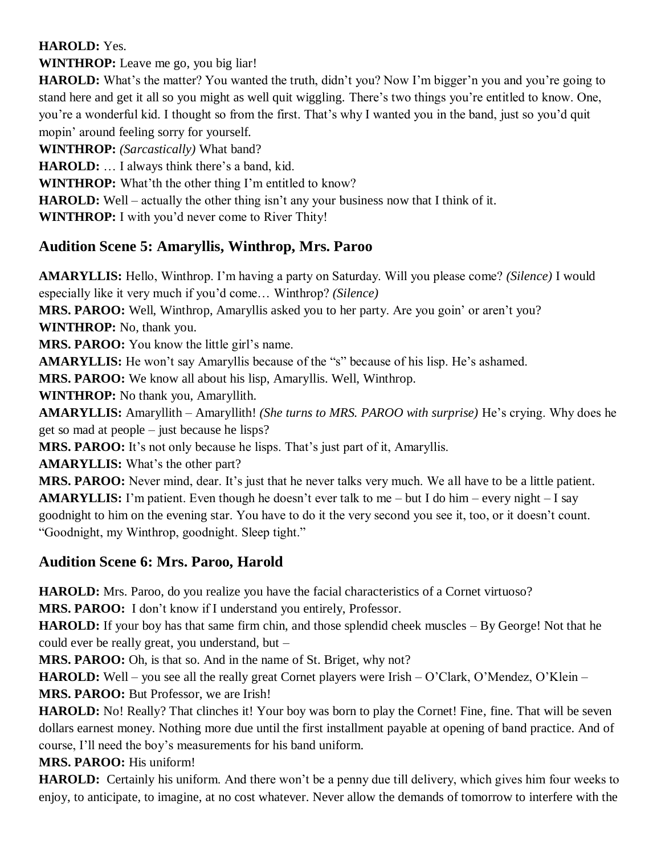#### **HAROLD:** Yes.

**WINTHROP:** Leave me go, you big liar!

**HAROLD:** What's the matter? You wanted the truth, didn't you? Now I'm bigger'n you and you're going to stand here and get it all so you might as well quit wiggling. There's two things you're entitled to know. One, you're a wonderful kid. I thought so from the first. That's why I wanted you in the band, just so you'd quit mopin' around feeling sorry for yourself.

**WINTHROP:** *(Sarcastically)* What band?

**HAROLD:** … I always think there's a band, kid.

**WINTHROP:** What'th the other thing I'm entitled to know?

**HAROLD:** Well – actually the other thing isn't any your business now that I think of it.

**WINTHROP:** I with you'd never come to River Thity!

## **Audition Scene 5: Amaryllis, Winthrop, Mrs. Paroo**

**AMARYLLIS:** Hello, Winthrop. I'm having a party on Saturday. Will you please come? *(Silence)* I would especially like it very much if you'd come… Winthrop? *(Silence)* **MRS. PAROO:** Well, Winthrop, Amaryllis asked you to her party. Are you goin' or aren't you?

**WINTHROP:** No, thank you.

**MRS. PAROO:** You know the little girl's name.

**AMARYLLIS:** He won't say Amaryllis because of the "s" because of his lisp. He's ashamed.

**MRS. PAROO:** We know all about his lisp, Amaryllis. Well, Winthrop.

**WINTHROP:** No thank you, Amaryllith.

**AMARYLLIS:** Amaryllith – Amaryllith! *(She turns to MRS. PAROO with surprise)* He's crying. Why does he get so mad at people – just because he lisps?

**MRS. PAROO:** It's not only because he lisps. That's just part of it, Amaryllis.

**AMARYLLIS:** What's the other part?

**MRS. PAROO:** Never mind, dear. It's just that he never talks very much. We all have to be a little patient. **AMARYLLIS:** I'm patient. Even though he doesn't ever talk to me – but I do him – every night – I say goodnight to him on the evening star. You have to do it the very second you see it, too, or it doesn't count. "Goodnight, my Winthrop, goodnight. Sleep tight."

## **Audition Scene 6: Mrs. Paroo, Harold**

**HAROLD:** Mrs. Paroo, do you realize you have the facial characteristics of a Cornet virtuoso?

**MRS. PAROO:** I don't know if I understand you entirely, Professor.

**HAROLD:** If your boy has that same firm chin, and those splendid cheek muscles – By George! Not that he could ever be really great, you understand, but –

**MRS. PAROO:** Oh, is that so. And in the name of St. Briget, why not?

**HAROLD:** Well – you see all the really great Cornet players were Irish – O'Clark, O'Mendez, O'Klein – **MRS. PAROO:** But Professor, we are Irish!

**HAROLD:** No! Really? That clinches it! Your boy was born to play the Cornet! Fine, fine. That will be seven dollars earnest money. Nothing more due until the first installment payable at opening of band practice. And of course, I'll need the boy's measurements for his band uniform.

**MRS. PAROO:** His uniform!

**HAROLD:** Certainly his uniform. And there won't be a penny due till delivery, which gives him four weeks to enjoy, to anticipate, to imagine, at no cost whatever. Never allow the demands of tomorrow to interfere with the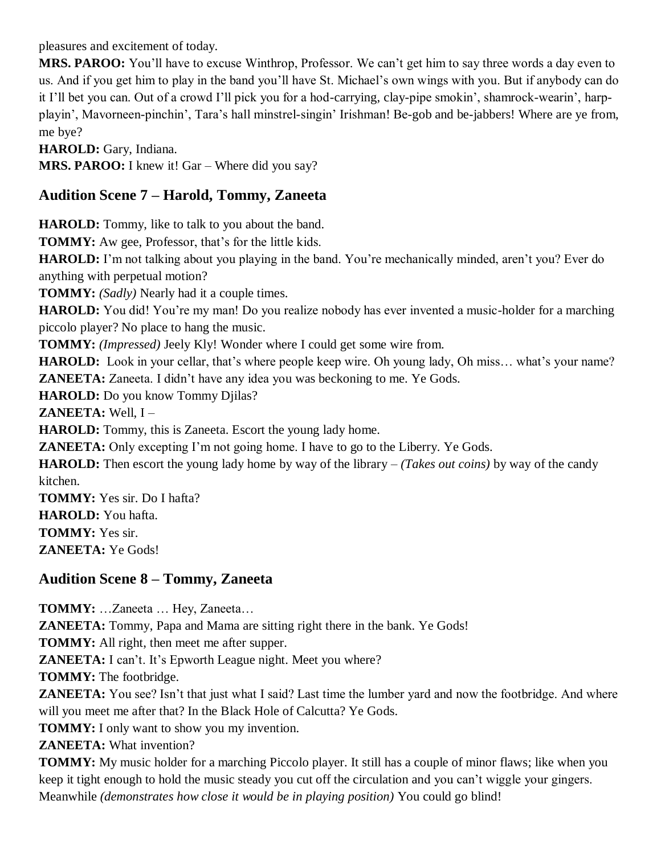pleasures and excitement of today.

**MRS. PAROO:** You'll have to excuse Winthrop, Professor. We can't get him to say three words a day even to us. And if you get him to play in the band you'll have St. Michael's own wings with you. But if anybody can do it I'll bet you can. Out of a crowd I'll pick you for a hod-carrying, clay-pipe smokin', shamrock-wearin', harpplayin', Mavorneen-pinchin', Tara's hall minstrel-singin' Irishman! Be-gob and be-jabbers! Where are ye from, me bye?

**HAROLD:** Gary, Indiana.

**MRS. PAROO:** I knew it! Gar – Where did you say?

#### **Audition Scene 7 – Harold, Tommy, Zaneeta**

**HAROLD:** Tommy, like to talk to you about the band.

**TOMMY:** Aw gee, Professor, that's for the little kids.

**HAROLD:** I'm not talking about you playing in the band. You're mechanically minded, aren't you? Ever do anything with perpetual motion?

**TOMMY:** *(Sadly)* Nearly had it a couple times.

**HAROLD:** You did! You're my man! Do you realize nobody has ever invented a music-holder for a marching piccolo player? No place to hang the music.

**TOMMY:** *(Impressed)* Jeely Kly! Wonder where I could get some wire from.

**HAROLD:** Look in your cellar, that's where people keep wire. Oh young lady, Oh miss... what's your name? **ZANEETA:** Zaneeta. I didn't have any idea you was beckoning to me. Ye Gods.

**HAROLD:** Do you know Tommy Djilas?

**ZANEETA:** Well, I –

**HAROLD:** Tommy, this is Zaneeta. Escort the young lady home.

**ZANEETA:** Only excepting I'm not going home. I have to go to the Liberry. Ye Gods.

**HAROLD:** Then escort the young lady home by way of the library – *(Takes out coins)* by way of the candy kitchen.

**TOMMY:** Yes sir. Do I hafta? **HAROLD:** You hafta. **TOMMY:** Yes sir. **ZANEETA:** Ye Gods!

**Audition Scene 8 – Tommy, Zaneeta**

**TOMMY:** …Zaneeta … Hey, Zaneeta…

**ZANEETA:** Tommy, Papa and Mama are sitting right there in the bank. Ye Gods!

**TOMMY:** All right, then meet me after supper.

**ZANEETA:** I can't. It's Epworth League night. Meet you where?

**TOMMY:** The footbridge.

**ZANEETA:** You see? Isn't that just what I said? Last time the lumber yard and now the footbridge. And where will you meet me after that? In the Black Hole of Calcutta? Ye Gods.

**TOMMY:** I only want to show you my invention.

**ZANEETA:** What invention?

**TOMMY:** My music holder for a marching Piccolo player. It still has a couple of minor flaws; like when you keep it tight enough to hold the music steady you cut off the circulation and you can't wiggle your gingers. Meanwhile *(demonstrates how close it would be in playing position)* You could go blind!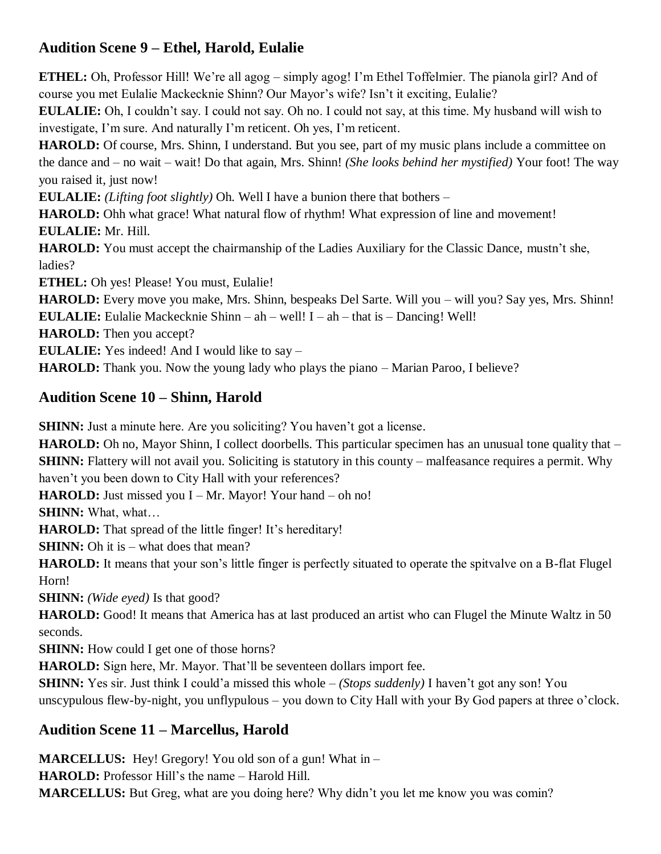## **Audition Scene 9 – Ethel, Harold, Eulalie**

**ETHEL:** Oh, Professor Hill! We're all agog – simply agog! I'm Ethel Toffelmier. The pianola girl? And of course you met Eulalie Mackecknie Shinn? Our Mayor's wife? Isn't it exciting, Eulalie?

**EULALIE:** Oh, I couldn't say. I could not say. Oh no. I could not say, at this time. My husband will wish to investigate, I'm sure. And naturally I'm reticent. Oh yes, I'm reticent.

**HAROLD:** Of course, Mrs. Shinn, I understand. But you see, part of my music plans include a committee on the dance and – no wait – wait! Do that again, Mrs. Shinn! *(She looks behind her mystified)* Your foot! The way you raised it, just now!

**EULALIE:** *(Lifting foot slightly)* Oh. Well I have a bunion there that bothers –

**HAROLD:** Ohh what grace! What natural flow of rhythm! What expression of line and movement! **EULALIE:** Mr. Hill.

**HAROLD:** You must accept the chairmanship of the Ladies Auxiliary for the Classic Dance, mustn't she, ladies?

**ETHEL:** Oh yes! Please! You must, Eulalie!

**HAROLD:** Every move you make, Mrs. Shinn, bespeaks Del Sarte. Will you – will you? Say yes, Mrs. Shinn! **EULALIE:** Eulalie Mackecknie Shinn – ah – well! I – ah – that is – Dancing! Well!

**HAROLD:** Then you accept?

**EULALIE:** Yes indeed! And I would like to say –

**HAROLD:** Thank you. Now the young lady who plays the piano – Marian Paroo, I believe?

#### **Audition Scene 10 – Shinn, Harold**

**SHINN:** Just a minute here. Are you soliciting? You haven't got a license.

**HAROLD:** Oh no, Mayor Shinn, I collect doorbells. This particular specimen has an unusual tone quality that – **SHINN:** Flattery will not avail you. Soliciting is statutory in this county – malfeasance requires a permit. Why haven't you been down to City Hall with your references?

**HAROLD:** Just missed you I – Mr. Mayor! Your hand – oh no!

**SHINN:** What, what…

**HAROLD:** That spread of the little finger! It's hereditary!

**SHINN:** Oh it is – what does that mean?

**HAROLD:** It means that your son's little finger is perfectly situated to operate the spitvalve on a B-flat Flugel Horn!

**SHINN:** *(Wide eyed)* Is that good?

**HAROLD:** Good! It means that America has at last produced an artist who can Flugel the Minute Waltz in 50 seconds.

**SHINN:** How could I get one of those horns?

**HAROLD:** Sign here, Mr. Mayor. That'll be seventeen dollars import fee.

**SHINN:** Yes sir. Just think I could'a missed this whole – *(Stops suddenly)* I haven't got any son! You unscypulous flew-by-night, you unflypulous – you down to City Hall with your By God papers at three o'clock.

#### **Audition Scene 11 – Marcellus, Harold**

**MARCELLUS:** Hey! Gregory! You old son of a gun! What in – **HAROLD:** Professor Hill's the name – Harold Hill. **MARCELLUS:** But Greg, what are you doing here? Why didn't you let me know you was comin?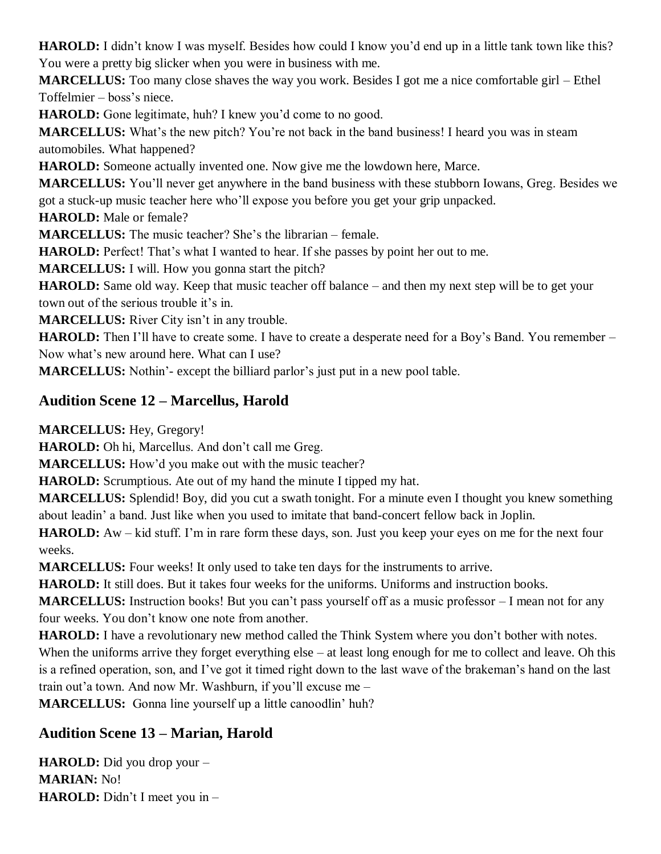**HAROLD:** I didn't know I was myself. Besides how could I know you'd end up in a little tank town like this? You were a pretty big slicker when you were in business with me.

**MARCELLUS:** Too many close shaves the way you work. Besides I got me a nice comfortable girl – Ethel Toffelmier – boss's niece.

**HAROLD:** Gone legitimate, huh? I knew you'd come to no good.

**MARCELLUS:** What's the new pitch? You're not back in the band business! I heard you was in steam automobiles. What happened?

**HAROLD:** Someone actually invented one. Now give me the lowdown here, Marce.

**MARCELLUS:** You'll never get anywhere in the band business with these stubborn Iowans, Greg. Besides we got a stuck-up music teacher here who'll expose you before you get your grip unpacked.

**HAROLD:** Male or female?

**MARCELLUS:** The music teacher? She's the librarian – female.

**HAROLD:** Perfect! That's what I wanted to hear. If she passes by point her out to me.

**MARCELLUS:** I will. How you gonna start the pitch?

**HAROLD:** Same old way. Keep that music teacher off balance – and then my next step will be to get your town out of the serious trouble it's in.

**MARCELLUS:** River City isn't in any trouble.

**HAROLD:** Then I'll have to create some. I have to create a desperate need for a Boy's Band. You remember – Now what's new around here. What can I use?

**MARCELLUS:** Nothin'- except the billiard parlor's just put in a new pool table.

## **Audition Scene 12 – Marcellus, Harold**

**MARCELLUS:** Hey, Gregory!

**HAROLD:** Oh hi, Marcellus. And don't call me Greg.

**MARCELLUS:** How'd you make out with the music teacher?

**HAROLD:** Scrumptious. Ate out of my hand the minute I tipped my hat.

**MARCELLUS:** Splendid! Boy, did you cut a swath tonight. For a minute even I thought you knew something about leadin' a band. Just like when you used to imitate that band-concert fellow back in Joplin.

**HAROLD:** Aw – kid stuff. I'm in rare form these days, son. Just you keep your eyes on me for the next four weeks.

**MARCELLUS:** Four weeks! It only used to take ten days for the instruments to arrive.

**HAROLD:** It still does. But it takes four weeks for the uniforms. Uniforms and instruction books.

**MARCELLUS:** Instruction books! But you can't pass yourself off as a music professor – I mean not for any four weeks. You don't know one note from another.

**HAROLD:** I have a revolutionary new method called the Think System where you don't bother with notes. When the uniforms arrive they forget everything else – at least long enough for me to collect and leave. Oh this is a refined operation, son, and I've got it timed right down to the last wave of the brakeman's hand on the last train out'a town. And now Mr. Washburn, if you'll excuse me –

**MARCELLUS:** Gonna line yourself up a little canoodlin' huh?

## **Audition Scene 13 – Marian, Harold**

**HAROLD:** Did you drop your – **MARIAN:** No! **HAROLD:** Didn't I meet you in –